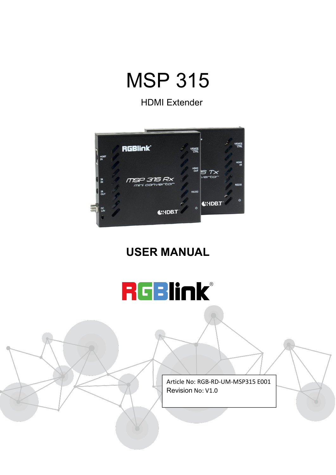

HDMI Extender



#### **USER MANUAL**



Article No: RGB-RD-UM-MSP315 E001 Revision No: V1.0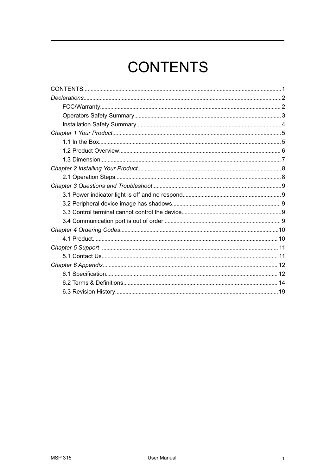# <span id="page-1-0"></span>**CONTENTS**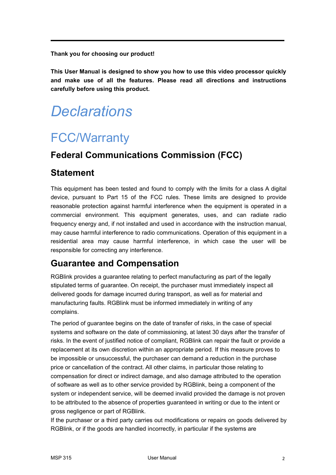**Thank you for choosing our product!**

**This User Manual is designed to show you how to use this video processor quickly and make use of all the features. Please read all directions and instructions carefully before using this product.**

## <span id="page-2-0"></span>*Declarations*

### <span id="page-2-1"></span>FCC/Warranty

#### **Federal Communications Commission (FCC)**

#### **Statement**

This equipment has been tested and found to comply with the limits for a class A digital device, pursuant to Part 15 of the FCC rules. These limits are designed to provide reasonable protection against harmful interference when the equipment is operated in a commercial environment. This equipment generates, uses, and can radiate radio frequency energy and, if not installed and used in accordance with the instruction manual, may cause harmful interference to radio communications. Operation of this equipment in a residential area may cause harmful interference, in which case the user will be responsible for correcting any interference.

#### **Guarantee and Compensation**

RGBlink provides a guarantee relating to perfect manufacturing as part of the legally stipulated terms of guarantee. On receipt, the purchaser must immediately inspect all delivered goods for damage incurred during transport, as well as for material and manufacturing faults. RGBlink must be informed immediately in writing of any complains.

The period of guarantee begins on the date of transfer of risks, in the case of special systems and software on the date of commissioning, at latest 30 days after the transfer of risks. In the event of justified notice of compliant, RGBlink can repair the fault or provide a replacement at its own discretion within an appropriate period. If this measure proves to be impossible or unsuccessful, the purchaser can demand a reduction in the purchase price or cancellation of the contract. All other claims, in particular those relating to compensation for direct or indirect damage, and also damage attributed to the operation of software as well as to other service provided by RGBlink, being a component of the system or independent service, will be deemed invalid provided the damage is not proven to be attributed to the absence of properties guaranteed in writing or due to the intent or gross negligence or part of RGBlink.

If the purchaser or a third party carries out modifications or repairs on goods delivered by RGBlink, or if the goods are handled incorrectly, in particular if the systems are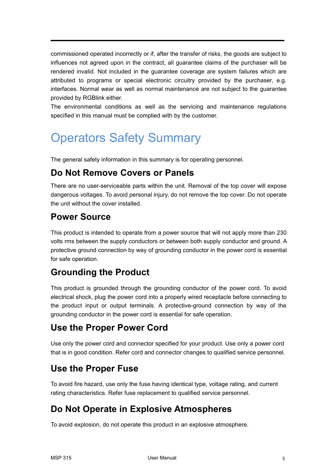commissioned operated incorrectly or if, after the transfer of risks, the goods are subject to influences not agreed upon in the contract, all guarantee claims of the purchaser will be rendered invalid. Not included in the guarantee coverage are system failures which are attributed to programs or special electronic circuitry provided by the purchaser, e.g. interfaces. Normal wear as well as normal maintenance are not subject to the guarantee provided by RGBlink either.

The environmental conditions as well as the servicing and maintenance regulations specified in this manual must be complied with by the customer.

### <span id="page-3-0"></span>Operators Safety Summary

The general safety information in this summary is for operating personnel.

#### **Do Not Remove Covers or Panels**

There are no user-serviceable parts within the unit. Removal of the top cover will expose dangerous voltages.To avoid personal injury, do not remove the top cover. Do not operate the unit without the cover installed.

#### **Power Source**

This product is intended to operate from a power source that will notapply more than 230 volts rms between the supply conductors or between both supply conductor and ground. A protective ground connection by way of grounding conductor in the power cord is essential for safe operation.

#### **Grounding the Product**

This product is grounded through the grounding conductor of the power cord. To avoid electrical shock, plug the power cord into a properly wired receptacle before connecting to the product input or output terminals. A protective-ground connection by way of the grounding conductor in the power cord is essential for safe operation.

#### **Use the Proper Power Cord**

Use only the power cord and connector specified for your product. Use only a power cord that is in good condition. Refer cord and connector changes to qualified service personnel.

#### **Use the Proper Fuse**

To avoid fire hazard, use only the fuse having identical type, voltage rating, and current rating characteristics. Refer fuse replacement to qualified service personnel.

#### **Do Not Operate in Explosive Atmospheres**

To avoid explosion, do not operate this product in an explosive atmosphere.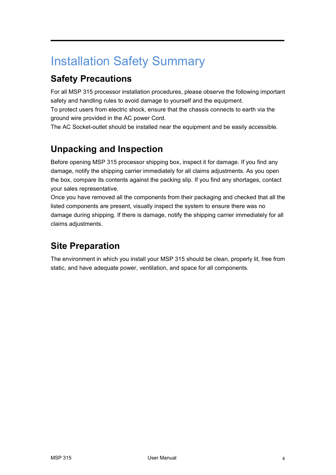### <span id="page-4-0"></span>Installation Safety Summary

#### **Safety Precautions**

For all MSP 315 processor installation procedures, please observe the following important safety and handling rules to avoid damage to yourself and the equipment.

To protect users from electric shock, ensure that the chassis connects to earth via the ground wire provided in the AC power Cord.

The AC Socket-outlet should be installed near the equipment and be easily accessible.

#### **Unpacking and Inspection**

Before opening MSP 315 processor shipping box, inspect it for damage. If you find any damage, notify the shipping carrier immediately for all claims adjustments. As you open the box, compare its contents against the packing slip. If you find any shortages, contact your sales representative.

Once you have removed all the components from their packaging and checked that all the listed components are present, visually inspect the system to ensure there was no damage during shipping. If there is damage, notify the shipping carrier immediately for all claims adjustments.

#### **Site Preparation**

The environment in which you install your MSP 315 should be clean, properly lit, free from static, and have adequate power, ventilation, and space for all components.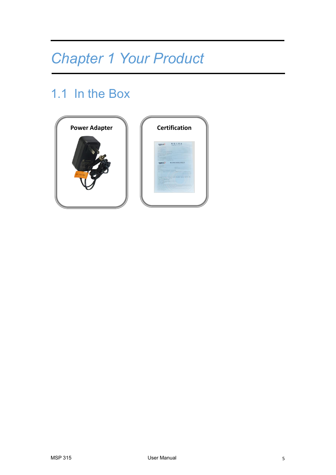# <span id="page-5-0"></span>*Chapter 1 Your Product*

### <span id="page-5-1"></span>1.1 In the Box



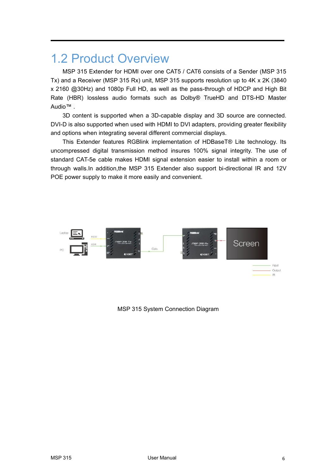### <span id="page-6-0"></span>1.2 Product Overview

MSP 315 Extender for HDMI over one CAT5 / CAT6 consists of a Sender (MSP 315 Tx) and a Receiver(MSP 315 Rx) unit, MSP 315 supports resolution up to 4K x 2K (3840 x 2160 @30Hz) and 1080p Full HD, as well as the pass-through of HDCP and High Bit Rate (HBR) lossless audio formats such as Dolby® TrueHD and DTS-HD Master Audio™ .

3D content is supported when a 3D-capable display and 3D source are connected.<br>DVI-D is also supported when used with HDMI to DVI adapters, providing greater flexibility and options when integrating several different commercial displays.

This Extender features RGBlink implementation of HDBaseT® Lite technology. Its uncompressed digital transmission method insures 100% signal integrity. The use of standard CAT-5e cable makes HDMI signal extension easier to install within a room or through walls.In addition,the MSP 315 Extender also support bi-directional IR and 12V POE power supply to make it more easily and convenient.



MSP 315 System Connection Diagram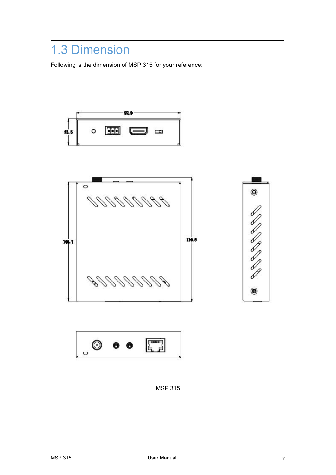### <span id="page-7-0"></span>1.3 Dimension

Following is the dimension of MSP 315 for your reference:







MSP 315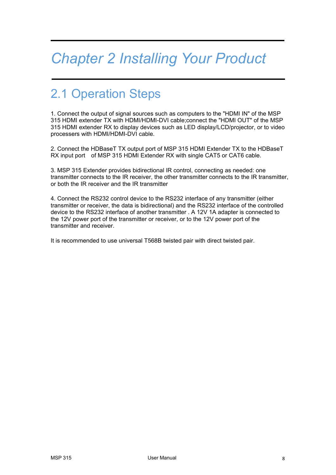## <span id="page-8-0"></span>*Chapter 2 Installing Your Product*

### <span id="page-8-1"></span>2.1 Operation Steps

1. Connect the output of signal sources such as computers to the "HDMI IN" of the MSP 315 HDMI extender TX with HDMI/HDMI-DVI cable;connect the "HDMI OUT" of the MSP 315 HDMI extender RX to display devices such as LED display/LCD/projector, or to video processers with HDMI/HDMI-DVI cable.

2. Connect the HDBaseT TX output port of MSP 315 HDMI Extender TX to the HDBaseT RX input port of MSP 315 HDMI Extender RX with single CAT5 or CAT6 cable.

3. MSP 315 Extender provides bidirectional IR control, connecting as needed; one transmitter connects to the IR receiver, the other transmitter connects to the IR transmitter, or both the IR receiver and the IR transmitter

4. Connect the RS232 control device to the RS232 interface ofany transmitter (either transmitter or receiver, the data is bidirectional) and the RS232 interface of the controlled device to the RS232 interface of another transmitter . A 12V 1A adapter is connected to the 12V power port of the transmitter or receiver, or to the 12V power port of the transmitter and receiver.

It is recommended to use universal T568B twisted pair with direct twisted pair.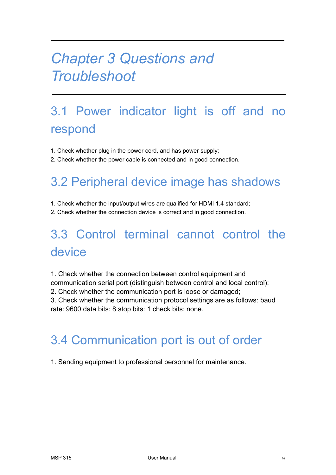## <span id="page-9-0"></span>*Chapter 3 Questions and Troubleshoot*

## <span id="page-9-1"></span>3.1 Power indicator light is off and no respond

- 1. Check whether plug in the power cord, and has power supply;
- 2. Check whether the power cable is connected and in good connection.

### <span id="page-9-2"></span>3.2 Peripheral device image has shadows

- 1. Check whether the input/output wires are qualified for HDMI 1.4 standard;
- 2. Check whether the connection device is correct and in good connection.

## <span id="page-9-3"></span>3.3 Control terminal cannot control the device

1. Check whether the connection between control equipment and communication serial port (distinguish between control and local control); 2. Check whether the communication port is loose or damaged; 3. Check whether the communication protocol settings are as follows: baud

rate: 9600 data bits: 8 stop bits: 1 check bits: none.

### <span id="page-9-4"></span>3.4 Communication port is out of order

1. Sending equipment to professional personnel for maintenance.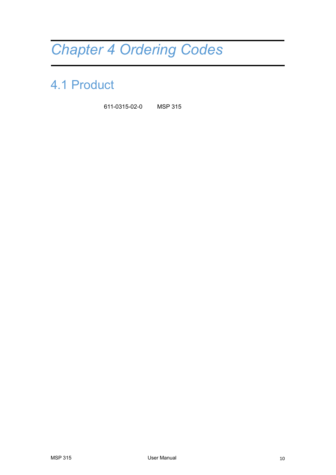# <span id="page-10-0"></span>*Chapter 4 Ordering Codes*

### <span id="page-10-1"></span>4.1 Product

611-0315-02-0 MSP 315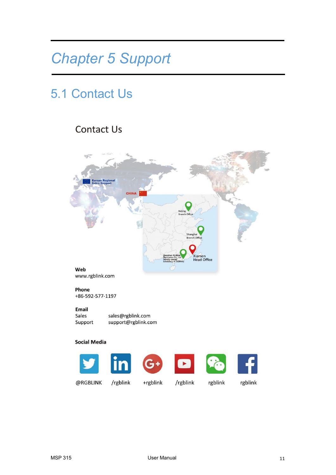## <span id="page-11-0"></span>*Chapter 5 Support*

### <span id="page-11-1"></span>5.1 Contact Us

#### **Contact Us**





@RGBLINK

/rgblink

+rgblink /rgblink rgblink

rgblink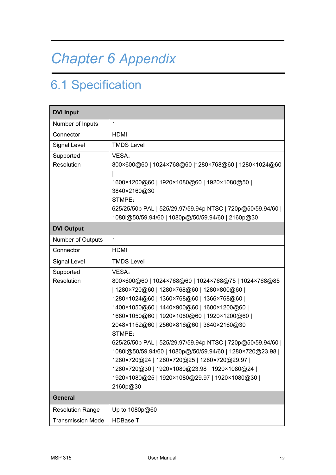# <span id="page-12-0"></span>*Chapter 6 Appendix*

## <span id="page-12-1"></span>6.1 Specification

| <b>DVI Input</b>         |                                                                                                                                                                                                                                                                                                                                                                                                                                                                                                                                                                                                               |  |  |  |  |  |
|--------------------------|---------------------------------------------------------------------------------------------------------------------------------------------------------------------------------------------------------------------------------------------------------------------------------------------------------------------------------------------------------------------------------------------------------------------------------------------------------------------------------------------------------------------------------------------------------------------------------------------------------------|--|--|--|--|--|
| Number of Inputs         | $\mathbf{1}$                                                                                                                                                                                                                                                                                                                                                                                                                                                                                                                                                                                                  |  |  |  |  |  |
| Connector                | <b>HDMI</b>                                                                                                                                                                                                                                                                                                                                                                                                                                                                                                                                                                                                   |  |  |  |  |  |
| Signal Level             | <b>TMDS Level</b>                                                                                                                                                                                                                                                                                                                                                                                                                                                                                                                                                                                             |  |  |  |  |  |
| Supported<br>Resolution  | VESA:<br>800×600@60   1024×768@60   1280×768@60   1280×1024@60<br>1600×1200@60   1920×1080@60   1920×1080@50  <br>3840×2160@30<br>STMPE:<br>625/25/50p PAL   525/29.97/59.94p NTSC   720p@50/59.94/60  <br>1080i@50/59.94/60   1080p@/50/59.94/60   2160p@30                                                                                                                                                                                                                                                                                                                                                  |  |  |  |  |  |
| <b>DVI Output</b>        |                                                                                                                                                                                                                                                                                                                                                                                                                                                                                                                                                                                                               |  |  |  |  |  |
| Number of Outputs        | $\mathbf{1}$                                                                                                                                                                                                                                                                                                                                                                                                                                                                                                                                                                                                  |  |  |  |  |  |
| Connector                | <b>HDMI</b>                                                                                                                                                                                                                                                                                                                                                                                                                                                                                                                                                                                                   |  |  |  |  |  |
| Signal Level             | <b>TMDS Level</b>                                                                                                                                                                                                                                                                                                                                                                                                                                                                                                                                                                                             |  |  |  |  |  |
| Supported<br>Resolution  | VESA:<br>800×600@60   1024×768@60   1024×768@75   1024×768@85<br>  1280×720@60   1280×768@60   1280×800@60  <br>1280×1024@60   1360×768@60   1366×768@60  <br>1400×1050@60   1440×900@60   1600×1200@60  <br>1680×1050@60   1920×1080@60   1920×1200@60  <br>2048×1152@60   2560×816@60   3840×2160@30<br>STMPE:<br>625/25/50p PAL   525/29.97/59.94p NTSC   720p@50/59.94/60  <br>1080i@50/59.94/60   1080p@/50/59.94/60   1280×720@23.98  <br>1280×720@24   1280×720@25   1280×720@29.97  <br>1280×720@30   1920×1080@23.98   1920×1080@24  <br>1920×1080@25   1920×1080@29.97   1920×1080@30  <br>2160p@30 |  |  |  |  |  |
| <b>General</b>           |                                                                                                                                                                                                                                                                                                                                                                                                                                                                                                                                                                                                               |  |  |  |  |  |
| <b>Resolution Range</b>  | Up to 1080p@60                                                                                                                                                                                                                                                                                                                                                                                                                                                                                                                                                                                                |  |  |  |  |  |
| <b>Transmission Mode</b> | <b>HDBase T</b>                                                                                                                                                                                                                                                                                                                                                                                                                                                                                                                                                                                               |  |  |  |  |  |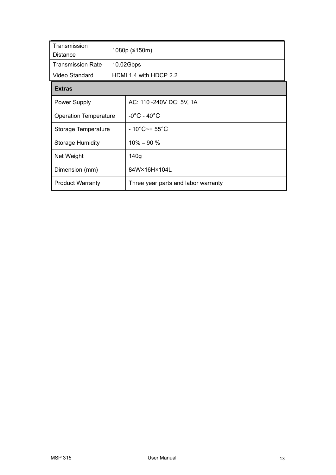| Transmission<br>Distance     |  | 1080p (≤150m)                       |  |
|------------------------------|--|-------------------------------------|--|
| Transmission Rate            |  | 10.02Gbps                           |  |
| Video Standard               |  | HDMI 1.4 with HDCP 2.2              |  |
| <b>Extras</b>                |  |                                     |  |
| <b>Power Supply</b>          |  | AC: 110~240V DC: 5V, 1A             |  |
| <b>Operation Temperature</b> |  | $-0^{\circ}$ C - 40 $^{\circ}$ C    |  |
| Storage Temperature          |  | $-10^{\circ}$ C~+ 55 $^{\circ}$ C   |  |
| <b>Storage Humidity</b>      |  | $10\% - 90\%$                       |  |
| Net Weight                   |  | 140 <sub>g</sub>                    |  |
| Dimension (mm)               |  | 84W×16H×104L                        |  |
| <b>Product Warranty</b>      |  | Three year parts and labor warranty |  |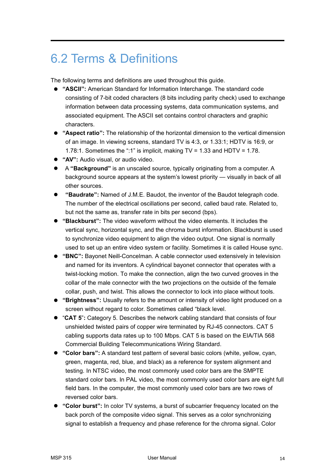### <span id="page-14-0"></span>6.2 Terms & Definitions

The following terms and definitions are used throughout this guide.

- **"ASCII":** American Standard for Information Interchange. The standard code consisting of 7-bit coded characters (8 bits including parity check) used to exchange information between data processing systems, data communication systems, and associated equipment. The ASCII set contains control characters and graphic characters.
- **"Aspect ratio":**The relationship of the horizontal dimension to the vertical dimension of an image. In viewing screens, standard TV is 4:3, or 1.33:1; HDTV is 16:9, or 1.78:1. Sometimes the ":1" is implicit, making TV = 1.33 and HDTV = 1.78.
- **"AV":** Audio visual, or audio video.
- A **"Background"** is an unscaled source, typically originating from a computer. A background source appears at the system's lowest priority — visually in back of all other sources.
- **"Baudrate":** Named of J.M.E. Baudot, the inventor ofthe Baudot telegraph code. The number of the electrical oscillations per second, called baud rate. Related to, but not the same as, transfer rate in bits per second (bps).
- **"Blackburst":** The video waveform without the video elements. It includes the vertical sync, horizontal sync, and the chroma burst information. Blackburst is used to synchronize video equipment to align the video output. One signal is normally used to set up an entire video system or facility. Sometimes itis called House sync.
- **"BNC":** Bayonet Neill-Concelman. A cable connector used extensively in television and named for its inventors. A cylindrical bayonet connector that operates with a twist-locking motion. To make the connection, align the two curved grooves in the collar of the male connector with the two projections on the outside of the female collar, push, and twist. This allows the connector to lock into place without tools.
- "Brightness": Usually refers to the amount or intensity of video light produced on a screen without regard to color. Sometimes called "black level.
- "**CAT 5**"**:** Category 5. Describes the network cabling standard that consists of four unshielded twisted pairs of copper wire terminated by RJ-45 connectors. CAT 5 cabling supports data rates up to 100 Mbps. CAT 5 is based on the EIA/TIA 568 Commercial Building Telecommunications Wiring Standard.
- **"Color bars":** A standard test pattern of several basic colors (white, yellow, cyan, green, magenta, red, blue, and black) as a reference for system alignment and testing. In NTSC video, the most commonly used color bars are the SMPTE standard color bars. In PAL video, the most commonly used color bars are eight full field bars. In the computer, the most commonly used color bars are two rows of reversed color bars.
- **"Color burst":** In color TV systems, a burst of subcarrier frequency located on the back porch of the composite video signal. This serves as a color synchronizing signal to establish a frequency and phase reference for the chroma signal. Color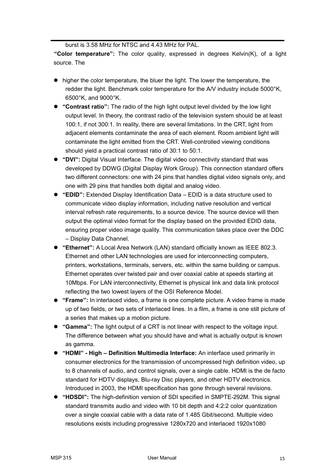burst is 3.58 MHz for NTSC and 4.43 MHz for PAL.

**"Color temperature":** The color quality, expressed in degrees Kelvin(K), of a light source. The

- higher the color temperature, the bluer the light. The lower the temperature, the redder the light. Benchmark color temperature for the A/V industry include 5000°K, 6500°K, and 9000°K.
- **"Contrast ratio":** The radio of the high light output level divided by the low light output level. In theory, the contrast radio of the television system should be at least 100:1, if not 300:1. In reality, there are several limitations. In the CRT, light from adjacent elements contaminate the area of each element. Room ambient light will contaminate the light emitted from the CRT. Well-controlled viewing conditions should yield a practical contrast ratio of 30:1 to 50:1.
- **"DVI":** Digital Visual Interface. The digital video connectivity standard that was developed by DDWG (Digital Display Work Group). This connection standard offers two different connectors: one with 24 pins that handles digital video signals only, and one with 29 pins that handles both digital and analog video.
- **"EDID":** Extended Display Identification Data EDID is a data structure used to communicate video display information, including native resolution and vertical interval refresh rate requirements, to a source device. The source device will then output the optimal video format for the display based on the provided EDID data, ensuring proper video image quality. This communication takes place over the DDC – Display Data Channel.
- **"Ethernet":** A Local Area Network (LAN) standard officially known as IEEE 802.3. Ethernet and other LAN technologies are used for interconnecting computers, printers, workstations, terminals, servers, etc. within the same building or campus. Ethernet operates over twisted pair and over coaxial cable at speeds starting at 10Mbps. For LAN interconnectivity, Ethernet is physical link and data link protocol reflecting the two lowest layers of the OSI Reference Model.
- **"Frame":** In interlaced video, a frame is one complete picture. A video frame is made up of two fields, or two sets of interlaced lines. In a film, a frame is one still picture of a series that makes up a motion picture.
- **"Gamma":** The light output of a CRT is not linear with respect to the voltage input. The difference between what you should have and what is actually output is known as gamma.
- **"HDMI" - High – Definition Multimedia Interface:** An interface used primarily in consumer electronics for the transmission of uncompressed high definition video, up to 8 channels of audio, and control signals, over a single cable. HDMI is the de facto standard for HDTV displays, Blu-ray Disc players, and other HDTV electronics. Introduced in 2003, the HDMI specification has gone through several revisions.
- **"HDSDI":** The high-definition version of SDI specified in SMPTE-292M. This signal standard transmits audio and video with 10 bit depth and 4:2:2 color quantization over a single coaxial cable with a data rate of1.485 Gbit/second. Multiple video resolutions exists including progressive 1280x720 and interlaced 1920x1080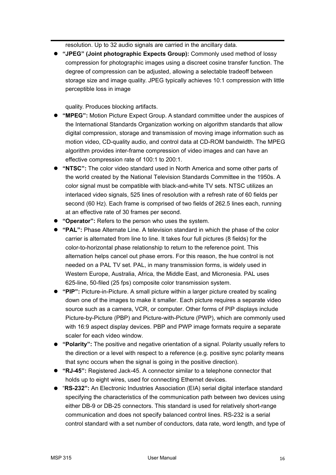resolution. Up to 32 audio signals are carried in the ancillary data.

 **"JPEG" (Joint photographic Expects Group):** Commonly used method of lossy compression for photographic images using a discreet cosine transfer function. The degree of compression can be adjusted, allowing a selectable tradeoff between storage size and image quality. JPEG typically achieves 10:1 compression with little perceptible loss in image

quality. Produces blocking artifacts.

- **"MPEG":** Motion Picture Expect Group. A standard committee under the auspices of the International Standards Organization working on algorithm standards that allow digital compression, storage and transmission of moving image information such as motion video, CD-quality audio, and control data at CD-ROM bandwidth. The MPEG algorithm provides inter-frame compression of video images and can have an effective compression rate of 100:1 to 200:1.
- **"NTSC":** The color video standard used in North America and some other parts of the world created by the National Television Standards Committee in the 1950s. A color signal must be compatible with black-and-white TV sets. NTSC utilizes an interlaced video signals, 525 lines of resolution with a refresh rate of 60 fields per second (60 Hz). Each frame is comprised of two fields of 262.5 lines each, running at an effective rate of 30 frames per second.
- **"Operator":** Refers to the person who uses the system.
- **"PAL":** Phase Alternate Line. A television standard in which the phase of the color carrier is alternated from line to line. It takes four full pictures (8 fields) for the color-to-horizontal phase relationship to return to the reference point. This alternation helps cancel out phase errors. For this reason, the hue control is not needed on a PAL TV set. PAL, in many transmission forms, is widely used in Western Europe, Australia, Africa, the Middle East, and Micronesia. PAL uses 625-line, 50-filed (25 fps) composite color transmission system.
- **"PIP":** Picture-in-Picture. A small picture within a larger picture created by scaling down one of the images to make it smaller. Each picture requires a separate video source such as a camera, VCR, or computer. Other forms of PIP displays include Picture-by-Picture (PBP) and Picture-with-Picture (PWP), which are commonly used with 16:9 aspect display devices. PBP and PWP image formats require a separate scaler for each video window.
- **"Polarity":** The positive and negative orientation of a signal. Polarity usually refers to the direction or a level with respect to a reference (e.g. positive sync polarity means that sync occurs when the signal is going in the positive direction).
- **"RJ-45":** Registered Jack-45. A connector similar to a telephone connector that holds up to eight wires, used for connecting Ethernet devices.
- "**RS-232":** An Electronic Industries Association (EIA) serial digital interface standard specifying the characteristics of the communication path between two devices using either DB-9 or DB-25 connectors. This standard is used for relatively short-range communication and does not specify balanced control lines. RS-232 is a serial control standard with a set number of conductors, data rate, word length, and type of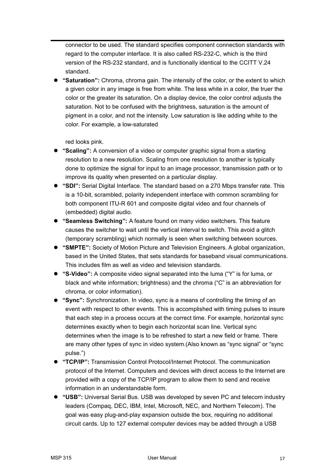connector to be used. The standard specifies component connection standards with regard to the computer interface. It is also called RS-232-C, which is the third version of the RS-232 standard, and is functionally identical to the CCITT V.24 standard.

 **"Saturation":** Chroma, chroma gain. The intensity of the color, or the extent to which a given color in any image is free from white. The less white in a color, the truer the color or the greater its saturation. On a display device, the color control adjusts the saturation. Not to be confused with the brightness, saturation is the amount of pigment in a color, and not the intensity. Low saturation is like adding white to the color. For example, a low-saturated

red looks pink.

- **"Scaling":** A conversion of a video or computer graphic signal from a starting resolution to a new resolution. Scaling from one resolution to another is typically done to optimize the signal for input to an image processor, transmission path or to improve its quality when presented on a particular display.
- **"SDI":** Serial Digital Interface. The standard based on a 270 Mbps transfer rate. This is a 10-bit, scrambled, polarity independent interface with common scrambling for both component ITU-R 601 and composite digital video and four channels of (embedded) digital audio.
- **"Seamless Switching":** A feature found on many video switchers. This feature causes the switcher to wait until the vertical interval to switch. This avoid a glitch (temporary scrambling) which normally is seen when switching between sources.
- **"SMPTE":** Society of Motion Picture and Television Engineers. A global organization, based in the United States, that sets standards for baseband visual communications. This includes film as well as video and television standards.
- **"S-Video":** A composite video signal separated into the luma ("Y" is for luma, or black and white information; brightness) and the chroma ("C" is an abbreviation for chroma, or color information).
- **"Sync":** Synchronization. In video, sync is a means of controlling the timing of an event with respect to other events. This is accomplished with timing pulses to insure that each step in a process occurs at the correct time. For example, horizontal sync determines exactly when to begin each horizontal scan line. Vertical sync determines when the image is to be refreshed to start a new field or frame. There are many other types of sync in video system.(Also known as "sync signal" or "sync pulse.")
- **"TCP/IP":** Transmission Control Protocol/Internet Protocol. The communication protocol of the Internet. Computers and devices with direct access to the Internet are provided with a copy of the TCP/IP program to allow them to send and receive information in an understandable form.
- **"USB":** Universal Serial Bus. USB was developed by seven PC and telecom industry leaders (Compaq, DEC, IBM, Intel, Microsoft, NEC, and Northern Telecom). The goal was easy plug-and-play expansion outside the box, requiring no additional circuit cards. Up to 127 external computer devices may be added through a USB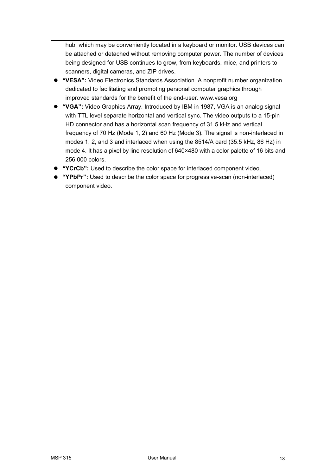hub, which may be conveniently located in a keyboard or monitor. USB devices can be attached or detached without removing computer power. The number of devices being designed for USB continues to grow, from keyboards, mice, and printers to scanners, digital cameras, and ZIP drives.

- **"VESA":** Video Electronics Standards Association. A nonprofit number organization dedicated to facilitating and promoting personal computer graphics through improved standards for the benefit of the end-user. www.vesa.org
- **"VGA":** Video Graphics Array. Introduced by IBM in 1987, VGA is an analog signal with TTL level separate horizontal and vertical sync. The video outputs to a 15-pin HD connector and has a horizontal scan frequency of 31.5 kHz and vertical frequency of 70 Hz (Mode 1,2) and 60 Hz (Mode 3). The signalis non-interlaced in modes 1, 2, and 3 and interlaced when using the 8514/A card (35.5 kHz, 86 Hz) in mode 4. It has a pixel by line resolution of 640×480 with a color palette of 16 bits and 256,000 colors.
- **The "YCrCb":** Used to describe the color space for interlaced component video.
- **"YPbPr":** Used to describe the color space for progressive-scan (non-interlaced) component video.